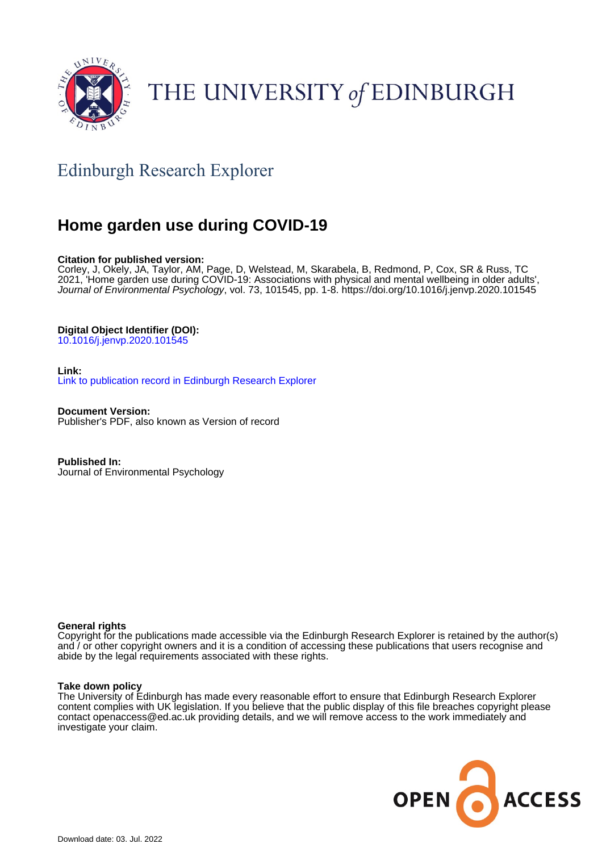

# THE UNIVERSITY of EDINBURGH

## Edinburgh Research Explorer

## **Home garden use during COVID-19**

## **Citation for published version:**

Corley, J, Okely, JA, Taylor, AM, Page, D, Welstead, M, Skarabela, B, Redmond, P, Cox, SR & Russ, TC 2021, 'Home garden use during COVID-19: Associations with physical and mental wellbeing in older adults', Journal of Environmental Psychology, vol. 73, 101545, pp. 1-8. <https://doi.org/10.1016/j.jenvp.2020.101545>

## **Digital Object Identifier (DOI):**

[10.1016/j.jenvp.2020.101545](https://doi.org/10.1016/j.jenvp.2020.101545)

## **Link:**

[Link to publication record in Edinburgh Research Explorer](https://www.research.ed.ac.uk/en/publications/2a243739-4766-4deb-9382-bd4cc22cfe1c)

**Document Version:** Publisher's PDF, also known as Version of record

**Published In:** Journal of Environmental Psychology

## **General rights**

Copyright for the publications made accessible via the Edinburgh Research Explorer is retained by the author(s) and / or other copyright owners and it is a condition of accessing these publications that users recognise and abide by the legal requirements associated with these rights.

## **Take down policy**

The University of Edinburgh has made every reasonable effort to ensure that Edinburgh Research Explorer content complies with UK legislation. If you believe that the public display of this file breaches copyright please contact openaccess@ed.ac.uk providing details, and we will remove access to the work immediately and investigate your claim.

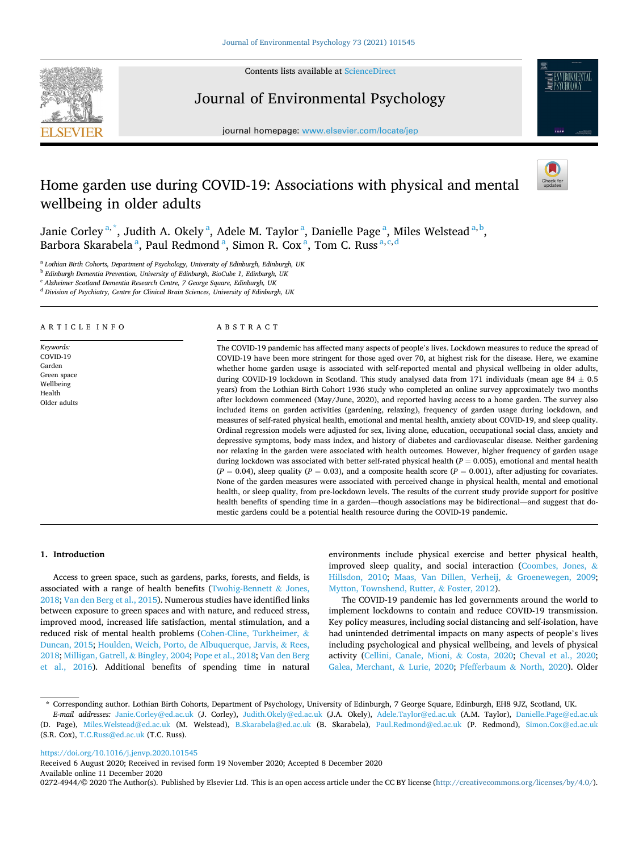

Contents lists available at [ScienceDirect](www.sciencedirect.com/science/journal/02724944)

## Journal of Environmental Psychology





## Home garden use during COVID-19: Associations with physical and mental wellbeing in older adults



Janie Corley <sup>a, \*</sup>, Judith A. Okely <sup>a</sup>, Adele M. Taylor <sup>a</sup>, Danielle Page <sup>a</sup>, Miles Welstead <sup>a, b</sup>, Barbora Skarabela<sup>a</sup>, Paul Redmond<sup>a</sup>, Simon R. Cox<sup>a</sup>, Tom C. Russ<sup>a, c, d</sup>

<sup>a</sup> *Lothian Birth Cohorts, Department of Psychology, University of Edinburgh, Edinburgh, UK* 

<sup>b</sup> *Edinburgh Dementia Prevention, University of Edinburgh, BioCube 1, Edinburgh, UK* 

<sup>c</sup> *Alzheimer Scotland Dementia Research Centre, 7 George Square, Edinburgh, UK* 

<sup>d</sup> *Division of Psychiatry, Centre for Clinical Brain Sciences, University of Edinburgh, UK* 

#### ARTICLE INFO

*Keywords:*  COVID-19 Garden Green space Wellbeing Health Older adults

#### ABSTRACT

The COVID-19 pandemic has affected many aspects of people's lives. Lockdown measures to reduce the spread of COVID-19 have been more stringent for those aged over 70, at highest risk for the disease. Here, we examine whether home garden usage is associated with self-reported mental and physical wellbeing in older adults, during COVID-19 lockdown in Scotland. This study analysed data from 171 individuals (mean age 84  $\pm$  0.5 years) from the Lothian Birth Cohort 1936 study who completed an online survey approximately two months after lockdown commenced (May/June, 2020), and reported having access to a home garden. The survey also included items on garden activities (gardening, relaxing), frequency of garden usage during lockdown, and measures of self-rated physical health, emotional and mental health, anxiety about COVID-19, and sleep quality. Ordinal regression models were adjusted for sex, living alone, education, occupational social class, anxiety and depressive symptoms, body mass index, and history of diabetes and cardiovascular disease. Neither gardening nor relaxing in the garden were associated with health outcomes. However, higher frequency of garden usage during lockdown was associated with better self-rated physical health (*P* = 0.005), emotional and mental health  $(P = 0.04)$ , sleep quality  $(P = 0.03)$ , and a composite health score  $(P = 0.001)$ , after adjusting for covariates. None of the garden measures were associated with perceived change in physical health, mental and emotional health, or sleep quality, from pre-lockdown levels. The results of the current study provide support for positive health benefits of spending time in a garden—though associations may be bidirectional—and suggest that domestic gardens could be a potential health resource during the COVID-19 pandemic.

#### **1. Introduction**

Access to green space, such as gardens, parks, forests, and fields, is associated with a range of health benefits [\(Twohig-Bennett](#page-7-0)  $\&$  Jones, [2018; Van den Berg et al., 2015\)](#page-7-0). Numerous studies have identified links between exposure to green spaces and with nature, and reduced stress, improved mood, increased life satisfaction, mental stimulation, and a reduced risk of mental health problems [\(Cohen-Cline, Turkheimer,](#page-7-0) & [Duncan, 2015; Houlden, Weich, Porto, de Albuquerque, Jarvis,](#page-7-0) & Rees, [2018; Milligan, Gatrell,](#page-7-0) & Bingley, 2004; [Pope et al., 2018; Van den Berg](#page-7-0)  [et al., 2016](#page-7-0)). Additional benefits of spending time in natural

environments include physical exercise and better physical health, improved sleep quality, and social interaction [\(Coombes, Jones,](#page-7-0) & [Hillsdon, 2010;](#page-7-0) [Maas, Van Dillen, Verheij,](#page-7-0) & Groenewegen, 2009; [Mytton, Townshend, Rutter,](#page-7-0) & Foster, 2012).

The COVID-19 pandemic has led governments around the world to implement lockdowns to contain and reduce COVID-19 transmission. Key policy measures, including social distancing and self-isolation, have had unintended detrimental impacts on many aspects of people's lives including psychological and physical wellbeing, and levels of physical activity ([Cellini, Canale, Mioni,](#page-7-0) & Costa, 2020; [Cheval et al., 2020](#page-7-0); [Galea, Merchant,](#page-7-0) & Lurie, 2020; [Pfefferbaum](#page-7-0) & North, 2020). Older

<https://doi.org/10.1016/j.jenvp.2020.101545>

Available online 11 December 2020 Received 6 August 2020; Received in revised form 19 November 2020; Accepted 8 December 2020

0272-4944/© 2020 The Author(s). Published by Elsevier Ltd. This is an open access article under the CC BY license [\(http://creativecommons.org/licenses/by/4.0/\)](http://creativecommons.org/licenses/by/4.0/).

<sup>\*</sup> Corresponding author. Lothian Birth Cohorts, Department of Psychology, University of Edinburgh, 7 George Square, Edinburgh, EH8 9JZ, Scotland, UK.

*E-mail addresses:* [Janie.Corley@ed.ac.uk](mailto:Janie.Corley@ed.ac.uk) (J. Corley), [Judith.Okely@ed.ac.uk](mailto:Judith.Okely@ed.ac.uk) (J.A. Okely), [Adele.Taylor@ed.ac.uk](mailto:Adele.Taylor@ed.ac.uk) (A.M. Taylor), [Danielle.Page@ed.ac.uk](mailto:Danielle.Page@ed.ac.uk)  (D. Page), [Miles.Welstead@ed.ac.uk](mailto:Miles.Welstead@ed.ac.uk) (M. Welstead), [B.Skarabela@ed.ac.uk](mailto:B.Skarabela@ed.ac.uk) (B. Skarabela), [Paul.Redmond@ed.ac.uk](mailto:Paul.Redmond@ed.ac.uk) (P. Redmond), [Simon.Cox@ed.ac.uk](mailto:Simon.Cox@ed.ac.uk)  (S.R. Cox), [T.C.Russ@ed.ac.uk](mailto:T.C.Russ@ed.ac.uk) (T.C. Russ).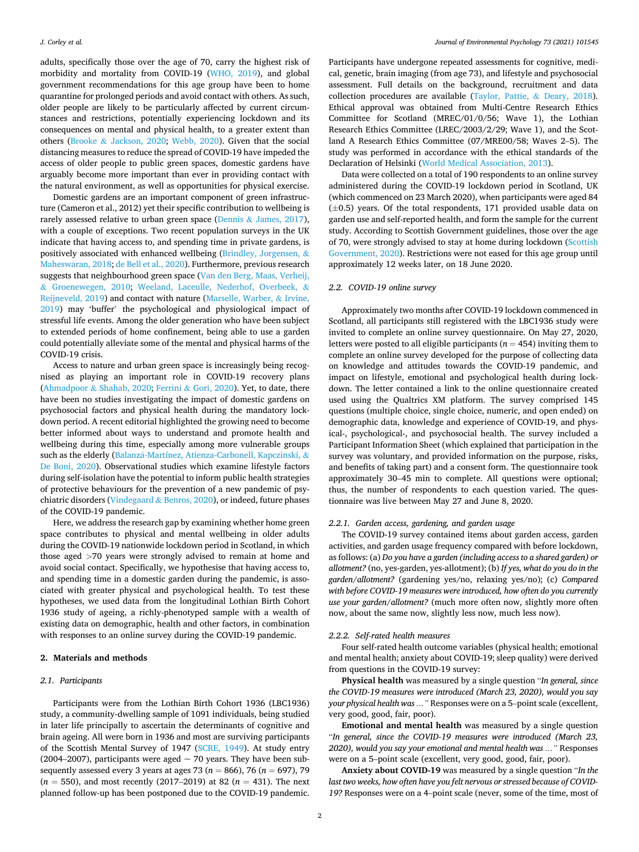adults, specifically those over the age of 70, carry the highest risk of morbidity and mortality from COVID-19 [\(WHO, 2019\)](#page-8-0), and global government recommendations for this age group have been to home quarantine for prolonged periods and avoid contact with others. As such, older people are likely to be particularly affected by current circumstances and restrictions, potentially experiencing lockdown and its consequences on mental and physical health, to a greater extent than others (Brooke & [Jackson, 2020;](#page-6-0) [Webb, 2020](#page-8-0)). Given that the social distancing measures to reduce the spread of COVID-19 have impeded the access of older people to public green spaces, domestic gardens have arguably become more important than ever in providing contact with the natural environment, as well as opportunities for physical exercise.

Domestic gardens are an important component of green infrastructure (Cameron et al., 2012) yet their specific contribution to wellbeing is rarely assessed relative to urban green space (Dennis & [James, 2017](#page-7-0)), with a couple of exceptions. Two recent population surveys in the UK indicate that having access to, and spending time in private gardens, is positively associated with enhanced wellbeing ([Brindley, Jorgensen,](#page-6-0)  $\&$ [Maheswaran, 2018](#page-6-0); [de Bell et al., 2020](#page-6-0)). Furthermore, previous research suggests that neighbourhood green space ([Van den Berg, Maas, Verheij,](#page-7-0)  & [Groenewegen, 2010;](#page-7-0) [Weeland, Laceulle, Nederhof, Overbeek,](#page-8-0) & [Reijneveld, 2019](#page-8-0)) and contact with nature [\(Marselle, Warber,](#page-7-0) & Irvine, [2019\)](#page-7-0) may 'buffer' the psychological and physiological impact of stressful life events. Among the older generation who have been subject to extended periods of home confinement, being able to use a garden could potentially alleviate some of the mental and physical harms of the COVID-19 crisis.

Access to nature and urban green space is increasingly being recognised as playing an important role in COVID-19 recovery plans (Ahmadpoor & [Shahab, 2020](#page-6-0); Ferrini & [Gori, 2020\)](#page-7-0). Yet, to date, there have been no studies investigating the impact of domestic gardens on psychosocial factors and physical health during the mandatory lockdown period. A recent editorial highlighted the growing need to become better informed about ways to understand and promote health and wellbeing during this time, especially among more vulnerable groups such as the elderly (Balanzá-Martínez, [Atienza-Carbonell, Kapczinski,](#page-6-0) & [De Boni, 2020](#page-6-0)). Observational studies which examine lifestyle factors during self-isolation have the potential to inform public health strategies of protective behaviours for the prevention of a new pandemic of psychiatric disorders (Vindegaard & [Benros, 2020\)](#page-8-0), or indeed, future phases of the COVID-19 pandemic.

Here, we address the research gap by examining whether home green space contributes to physical and mental wellbeing in older adults during the COVID-19 nationwide lockdown period in Scotland, in which those aged *>*70 years were strongly advised to remain at home and avoid social contact. Specifically, we hypothesise that having access to, and spending time in a domestic garden during the pandemic, is associated with greater physical and psychological health. To test these hypotheses, we used data from the longitudinal Lothian Birth Cohort 1936 study of ageing, a richly-phenotyped sample with a wealth of existing data on demographic, health and other factors, in combination with responses to an online survey during the COVID-19 pandemic.

#### **2. Materials and methods**

#### *2.1. Participants*

Participants were from the Lothian Birth Cohort 1936 (LBC1936) study, a community-dwelling sample of 1091 individuals, being studied in later life principally to ascertain the determinants of cognitive and brain ageing. All were born in 1936 and most are surviving participants of the Scottish Mental Survey of 1947 ([SCRE, 1949](#page-7-0)). At study entry (2004–2007), participants were aged  $\sim$  70 years. They have been subsequently assessed every 3 years at ages 73 (*n* = 866), 76 (*n* = 697), 79  $(n = 550)$ , and most recently (2017–2019) at 82  $(n = 431)$ . The next planned follow-up has been postponed due to the COVID-19 pandemic.

Participants have undergone repeated assessments for cognitive, medical, genetic, brain imaging (from age 73), and lifestyle and psychosocial assessment. Full details on the background, recruitment and data collection procedures are available ([Taylor, Pattie,](#page-7-0) & Deary, 2018). Ethical approval was obtained from Multi-Centre Research Ethics Committee for Scotland (MREC/01/0/56; Wave 1), the Lothian Research Ethics Committee (LREC/2003/2/29; Wave 1), and the Scotland A Research Ethics Committee (07/MRE00/58; Waves 2–5). The study was performed in accordance with the ethical standards of the Declaration of Helsinki [\(World Medical Association, 2013\)](#page-8-0).

Data were collected on a total of 190 respondents to an online survey administered during the COVID-19 lockdown period in Scotland, UK (which commenced on 23 March 2020), when participants were aged 84  $(\pm 0.5)$  years. Of the total respondents, 171 provided usable data on garden use and self-reported health, and form the sample for the current study. According to Scottish Government guidelines, those over the age of 70, were strongly advised to stay at home during lockdown ([Scottish](#page-7-0)  [Government, 2020](#page-7-0)). Restrictions were not eased for this age group until approximately 12 weeks later, on 18 June 2020.

#### *2.2. COVID-19 online survey*

Approximately two months after COVID-19 lockdown commenced in Scotland, all participants still registered with the LBC1936 study were invited to complete an online survey questionnaire. On May 27, 2020, letters were posted to all eligible participants ( $n = 454$ ) inviting them to complete an online survey developed for the purpose of collecting data on knowledge and attitudes towards the COVID-19 pandemic, and impact on lifestyle, emotional and psychological health during lockdown. The letter contained a link to the online questionnaire created used using the Qualtrics XM platform. The survey comprised 145 questions (multiple choice, single choice, numeric, and open ended) on demographic data, knowledge and experience of COVID-19, and physical-, psychological-, and psychosocial health. The survey included a Participant Information Sheet (which explained that participation in the survey was voluntary, and provided information on the purpose, risks, and benefits of taking part) and a consent form. The questionnaire took approximately 30–45 min to complete. All questions were optional; thus, the number of respondents to each question varied. The questionnaire was live between May 27 and June 8, 2020.

#### *2.2.1. Garden access, gardening, and garden usage*

The COVID-19 survey contained items about garden access, garden activities, and garden usage frequency compared with before lockdown, as follows: (a) *Do you have a garden (including access to a shared garden) or allotment?* (no, yes-garden, yes-allotment); (b) *If yes, what do you do in the garden/allotment?* (gardening yes/no, relaxing yes/no); (c) *Compared with before COVID-19 measures were introduced, how often do you currently use your garden/allotment?* (much more often now, slightly more often now, about the same now, slightly less now, much less now).

#### *2.2.2. Self-rated health measures*

Four self-rated health outcome variables (physical health; emotional and mental health; anxiety about COVID-19; sleep quality) were derived from questions in the COVID-19 survey:

**Physical health** was measured by a single question "*In general, since the COVID-19 measures were introduced (March 23, 2020), would you say your physical health was …"* Responses were on a 5–point scale (excellent, very good, good, fair, poor).

**Emotional and mental health** was measured by a single question "*In general, since the COVID-19 measures were introduced (March 23, 2020), would you say your emotional and mental health was …"* Responses were on a 5–point scale (excellent, very good, good, fair, poor).

**Anxiety about COVID-19** was measured by a single question "*In the last two weeks, how often have you felt nervous or stressed because of COVID-19?* Responses were on a 4–point scale (never, some of the time, most of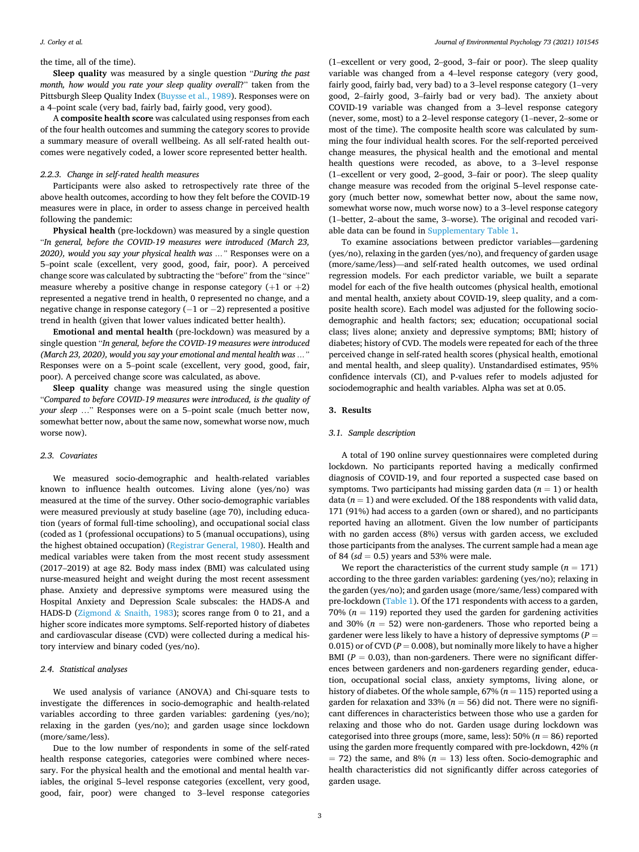#### *J. Corley et al.*

#### the time, all of the time).

**Sleep quality** was measured by a single question "*During the past month, how would you rate your sleep quality overall*?" taken from the Pittsburgh Sleep Quality Index ([Buysse et al., 1989](#page-7-0)). Responses were on a 4–point scale (very bad, fairly bad, fairly good, very good).

A **composite health score** was calculated using responses from each of the four health outcomes and summing the category scores to provide a summary measure of overall wellbeing. As all self-rated health outcomes were negatively coded, a lower score represented better health.

#### *2.2.3. Change in self-rated health measures*

Participants were also asked to retrospectively rate three of the above health outcomes, according to how they felt before the COVID-19 measures were in place, in order to assess change in perceived health following the pandemic:

**Physical health** (pre-lockdown) was measured by a single question "*In general, before the COVID-19 measures were introduced (March 23, 2020), would you say your physical health was …"* Responses were on a 5–point scale (excellent, very good, good, fair, poor). A perceived change score was calculated by subtracting the "before" from the "since" measure whereby a positive change in response category  $(+1 \text{ or } +2)$ represented a negative trend in health, 0 represented no change, and a negative change in response category  $(-1 \text{ or } -2)$  represented a positive trend in health (given that lower values indicated better health).

**Emotional and mental health** (pre-lockdown) was measured by a single question "*In general, before the COVID-19 measures were introduced (March 23, 2020), would you say your emotional and mental health was …"*  Responses were on a 5–point scale (excellent, very good, good, fair, poor). A perceived change score was calculated, as above.

**Sleep quality** change was measured using the single question "*Compared to before COVID-19 measures were introduced, is the quality of your sleep* …" Responses were on a 5–point scale (much better now, somewhat better now, about the same now, somewhat worse now, much worse now).

#### *2.3. Covariates*

We measured socio-demographic and health-related variables known to influence health outcomes. Living alone (yes/no) was measured at the time of the survey. Other socio-demographic variables were measured previously at study baseline (age 70), including education (years of formal full-time schooling), and occupational social class (coded as 1 (professional occupations) to 5 (manual occupations), using the highest obtained occupation) ([Registrar General, 1980](#page-7-0)). Health and medical variables were taken from the most recent study assessment (2017–2019) at age 82. Body mass index (BMI) was calculated using nurse-measured height and weight during the most recent assessment phase. Anxiety and depressive symptoms were measured using the Hospital Anxiety and Depression Scale subscales: the HADS-A and HADS-D (Zigmond & [Snaith, 1983\)](#page-8-0); scores range from 0 to 21, and a higher score indicates more symptoms. Self-reported history of diabetes and cardiovascular disease (CVD) were collected during a medical history interview and binary coded (yes/no).

#### *2.4. Statistical analyses*

We used analysis of variance (ANOVA) and Chi-square tests to investigate the differences in socio-demographic and health-related variables according to three garden variables: gardening (yes/no); relaxing in the garden (yes/no); and garden usage since lockdown (more/same/less).

Due to the low number of respondents in some of the self-rated health response categories, categories were combined where necessary. For the physical health and the emotional and mental health variables, the original 5–level response categories (excellent, very good, good, fair, poor) were changed to 3–level response categories

(1–excellent or very good, 2–good, 3–fair or poor). The sleep quality variable was changed from a 4–level response category (very good, fairly good, fairly bad, very bad) to a 3–level response category (1–very good, 2–fairly good, 3–fairly bad or very bad). The anxiety about COVID-19 variable was changed from a 3–level response category (never, some, most) to a 2–level response category (1–never, 2–some or most of the time). The composite health score was calculated by summing the four individual health scores. For the self-reported perceived change measures, the physical health and the emotional and mental health questions were recoded, as above, to a 3–level response (1–excellent or very good, 2–good, 3–fair or poor). The sleep quality change measure was recoded from the original 5–level response category (much better now, somewhat better now, about the same now, somewhat worse now, much worse now) to a 3–level response category (1–better, 2–about the same, 3–worse). The original and recoded variable data can be found in Supplementary Table 1.

To examine associations between predictor variables—gardening (yes/no), relaxing in the garden (yes/no), and frequency of garden usage (more/same/less)—and self-rated health outcomes, we used ordinal regression models. For each predictor variable, we built a separate model for each of the five health outcomes (physical health, emotional and mental health, anxiety about COVID-19, sleep quality, and a composite health score). Each model was adjusted for the following sociodemographic and health factors; sex; education; occupational social class; lives alone; anxiety and depressive symptoms; BMI; history of diabetes; history of CVD. The models were repeated for each of the three perceived change in self-rated health scores (physical health, emotional and mental health, and sleep quality). Unstandardised estimates, 95% confidence intervals (CI), and P-values refer to models adjusted for sociodemographic and health variables. Alpha was set at 0.05.

#### **3. Results**

#### *3.1. Sample description*

A total of 190 online survey questionnaires were completed during lockdown. No participants reported having a medically confirmed diagnosis of COVID-19, and four reported a suspected case based on symptoms. Two participants had missing garden data  $(n = 1)$  or health data  $(n = 1)$  and were excluded. Of the 188 respondents with valid data, 171 (91%) had access to a garden (own or shared), and no participants reported having an allotment. Given the low number of participants with no garden access (8%) versus with garden access, we excluded those participants from the analyses. The current sample had a mean age of 84 ( $sd = 0.5$ ) years and 53% were male.

We report the characteristics of the current study sample  $(n = 171)$ according to the three garden variables: gardening (yes/no); relaxing in the garden (yes/no); and garden usage (more/same/less) compared with pre-lockdown ([Table 1\)](#page-4-0). Of the 171 respondents with access to a garden, 70% ( $n = 119$ ) reported they used the garden for gardening activities and 30%  $(n = 52)$  were non-gardeners. Those who reported being a gardener were less likely to have a history of depressive symptoms (*P* = 0.015) or of CVD ( $P = 0.008$ ), but nominally more likely to have a higher BMI ( $P = 0.03$ ), than non-gardeners. There were no significant differences between gardeners and non-gardeners regarding gender, education, occupational social class, anxiety symptoms, living alone, or history of diabetes. Of the whole sample, 67% (*n* = 115) reported using a garden for relaxation and 33% ( $n = 56$ ) did not. There were no significant differences in characteristics between those who use a garden for relaxing and those who do not. Garden usage during lockdown was categorised into three groups (more, same, less): 50% (*n* = 86) reported using the garden more frequently compared with pre-lockdown, 42% (*n*   $=$  72) the same, and 8% ( $n = 13$ ) less often. Socio-demographic and health characteristics did not significantly differ across categories of garden usage.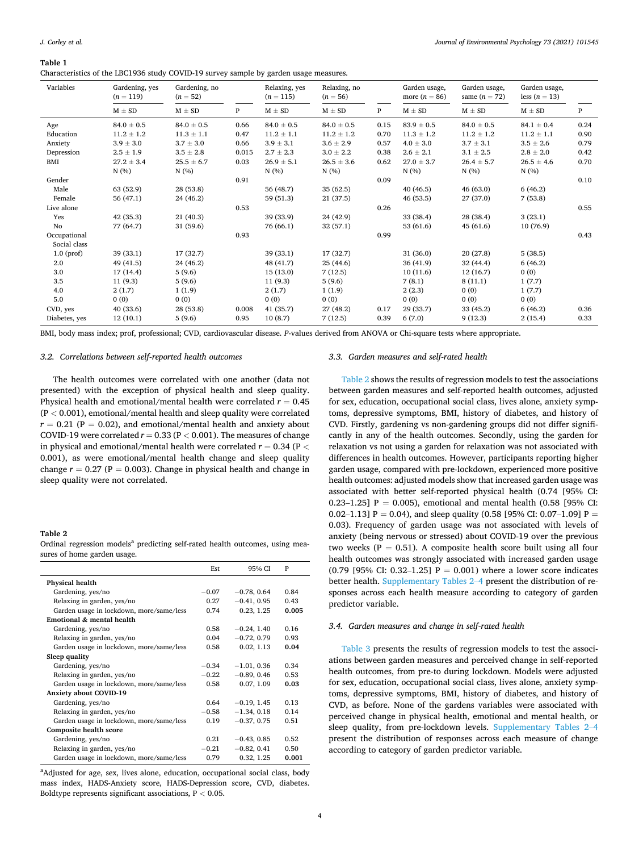<span id="page-4-0"></span>**Table 1** 

Characteristics of the LBC1936 study COVID-19 survey sample by garden usage measures.

| Variables     | Gardening, yes<br>$(n = 119)$ | Gardening, no<br>$(n = 52)$ |       | Relaxing, yes<br>$(n = 115)$ | Relaxing, no<br>$(n = 56)$ |      | Garden usage,<br>more $(n = 86)$ | Garden usage,<br>same $(n = 72)$ | Garden usage,<br>less $(n = 13)$ |      |
|---------------|-------------------------------|-----------------------------|-------|------------------------------|----------------------------|------|----------------------------------|----------------------------------|----------------------------------|------|
|               | $M \pm SD$                    | $M \pm SD$                  | P     | $M \pm SD$                   | $M \pm SD$                 | P    | $M \pm SD$                       | $M \pm SD$                       | $M \pm SD$                       | P    |
| Age           | $84.0 \pm 0.5$                | $84.0 \pm 0.5$              | 0.66  | $84.0 \pm 0.5$               | $84.0 \pm 0.5$             | 0.15 | $83.9 \pm 0.5$                   | $84.0 \pm 0.5$                   | $84.1 \pm 0.4$                   | 0.24 |
| Education     | $11.2 \pm 1.2$                | $11.3 \pm 1.1$              | 0.47  | $11.2 \pm 1.1$               | $11.2 \pm 1.2$             | 0.70 | $11.3 \pm 1.2$                   | $11.2 \pm 1.2$                   | $11.2 \pm 1.1$                   | 0.90 |
| Anxiety       | $3.9 \pm 3.0$                 | $3.7 \pm 3.0$               | 0.66  | $3.9 \pm 3.1$                | $3.6 \pm 2.9$              | 0.57 | $4.0 \pm 3.0$                    | $3.7 \pm 3.1$                    | $3.5 \pm 2.6$                    | 0.79 |
| Depression    | $2.5 \pm 1.9$                 | $3.5 \pm 2.8$               | 0.015 | $2.7 \pm 2.3$                | $3.0 \pm 2.2$              | 0.38 | $2.6 \pm 2.1$                    | $3.1 \pm 2.5$                    | $2.8 \pm 2.0$                    | 0.42 |
| BMI           | $27.2 \pm 3.4$                | $25.5 \pm 6.7$              | 0.03  | $26.9 \pm 5.1$               | $26.5 \pm 3.6$             | 0.62 | $27.0 \pm 3.7$                   | $26.4 \pm 5.7$                   | $26.5 \pm 4.6$                   | 0.70 |
|               | N(%)                          | N(%                         |       | N(%)                         | N(%                        |      | N(%)                             | N(%)                             | N(%)                             |      |
| Gender        |                               |                             | 0.91  |                              |                            | 0.09 |                                  |                                  |                                  | 0.10 |
| Male          | 63 (52.9)                     | 28 (53.8)                   |       | 56 (48.7)                    | 35(62.5)                   |      | 40 (46.5)                        | 46(63.0)                         | 6(46.2)                          |      |
| Female        | 56(47.1)                      | 24 (46.2)                   |       | 59 (51.3)                    | 21(37.5)                   |      | 46 (53.5)                        | 27 (37.0)                        | 7(53.8)                          |      |
| Live alone    |                               |                             | 0.53  |                              |                            | 0.26 |                                  |                                  |                                  | 0.55 |
| Yes           | 42(35.3)                      | 21(40.3)                    |       | 39 (33.9)                    | 24 (42.9)                  |      | 33 (38.4)                        | 28 (38.4)                        | 3(23.1)                          |      |
| No            | 77 (64.7)                     | 31(59.6)                    |       | 76 (66.1)                    | 32(57.1)                   |      | 53 (61.6)                        | 45(61.6)                         | 10(76.9)                         |      |
| Occupational  |                               |                             | 0.93  |                              |                            | 0.99 |                                  |                                  |                                  | 0.43 |
| Social class  |                               |                             |       |                              |                            |      |                                  |                                  |                                  |      |
| $1.0$ (prof)  | 39 (33.1)                     | 17(32.7)                    |       | 39 (33.1)                    | 17 (32.7)                  |      | 31 (36.0)                        | 20(27.8)                         | 5(38.5)                          |      |
| 2.0           | 49 (41.5)                     | 24 (46.2)                   |       | 48 (41.7)                    | 25(44.6)                   |      | 36 (41.9)                        | 32(44.4)                         | 6(46.2)                          |      |
| 3.0           | 17(14.4)                      | 5(9.6)                      |       | 15(13.0)                     | 7(12.5)                    |      | 10(11.6)                         | 12(16.7)                         | 0(0)                             |      |
| 3.5           | 11(9.3)                       | 5(9.6)                      |       | 11(9.3)                      | 5(9.6)                     |      | 7(8.1)                           | 8(11.1)                          | 1(7.7)                           |      |
| 4.0           | 2(1.7)                        | 1(1.9)                      |       | 2(1.7)                       | 1(1.9)                     |      | 2(2,3)                           | 0(0)                             | 1(7.7)                           |      |
| 5.0           | 0(0)                          | 0(0)                        |       | 0(0)                         | 0(0)                       |      | 0(0)                             | 0(0)                             | 0(0)                             |      |
| CVD, yes      | 40 (33.6)                     | 28 (53.8)                   | 0.008 | 41(35.7)                     | 27(48.2)                   | 0.17 | 29 (33.7)                        | 33(45.2)                         | 6(46.2)                          | 0.36 |
| Diabetes, yes | 12(10.1)                      | 5(9.6)                      | 0.95  | 10(8.7)                      | 7(12.5)                    | 0.39 | 6(7.0)                           | 9(12.3)                          | 2(15.4)                          | 0.33 |

BMI, body mass index; prof, professional; CVD, cardiovascular disease. *P*-values derived from ANOVA or Chi-square tests where appropriate.

#### *3.2. Correlations between self-reported health outcomes*

The health outcomes were correlated with one another (data not presented) with the exception of physical health and sleep quality. Physical health and emotional/mental health were correlated *r* = 0.45 (P *<* 0.001), emotional/mental health and sleep quality were correlated  $r = 0.21$  (P = 0.02), and emotional/mental health and anxiety about COVID-19 were correlated  $r = 0.33$  (P  $< 0.001$  ). The measures of change in physical and emotional/mental health were correlated *r* = 0.34 (P *<* 0.001), as were emotional/mental health change and sleep quality change  $r = 0.27$  (P = 0.003). Change in physical health and change in sleep quality were not correlated.

#### **Table 2**

Ordinal regression models<sup>a</sup> predicting self-rated health outcomes, using measures of home garden usage.

|                                          | Est     | 95% CI        | P     |
|------------------------------------------|---------|---------------|-------|
| Physical health                          |         |               |       |
| Gardening, yes/no                        | $-0.07$ | $-0.78, 0.64$ | 0.84  |
| Relaxing in garden, yes/no               | 0.27    | $-0.41, 0.95$ | 0.43  |
| Garden usage in lockdown, more/same/less | 0.74    | 0.23, 1.25    | 0.005 |
| Emotional & mental health                |         |               |       |
| Gardening, yes/no                        | 0.58    | $-0.24, 1.40$ | 0.16  |
| Relaxing in garden, yes/no               | 0.04    | $-0.72, 0.79$ | 0.93  |
| Garden usage in lockdown, more/same/less | 0.58    | 0.02, 1.13    | 0.04  |
| Sleep quality                            |         |               |       |
| Gardening, yes/no                        | $-0.34$ | $-1.01, 0.36$ | 0.34  |
| Relaxing in garden, yes/no               | $-0.22$ | $-0.89, 0.46$ | 0.53  |
| Garden usage in lockdown, more/same/less | 0.58    | 0.07, 1.09    | 0.03  |
| Anxiety about COVID-19                   |         |               |       |
| Gardening, yes/no                        | 0.64    | $-0.19, 1.45$ | 0.13  |
| Relaxing in garden, yes/no               | $-0.58$ | $-1.34, 0.18$ | 0.14  |
| Garden usage in lockdown, more/same/less | 0.19    | $-0.37, 0.75$ | 0.51  |
| Composite health score                   |         |               |       |
| Gardening, yes/no                        | 0.21    | $-0.43, 0.85$ | 0.52  |
| Relaxing in garden, yes/no               | $-0.21$ | $-0.82, 0.41$ | 0.50  |
| Garden usage in lockdown, more/same/less | 0.79    | 0.32, 1.25    | 0.001 |

<sup>a</sup>Adjusted for age, sex, lives alone, education, occupational social class, body mass index, HADS-Anxiety score, HADS-Depression score, CVD, diabetes. Boldtype represents significant associations, P *<* 0.05.

#### *3.3. Garden measures and self-rated health*

Table 2 shows the results of regression models to test the associations between garden measures and self-reported health outcomes, adjusted for sex, education, occupational social class, lives alone, anxiety symptoms, depressive symptoms, BMI, history of diabetes, and history of CVD. Firstly, gardening vs non-gardening groups did not differ significantly in any of the health outcomes. Secondly, using the garden for relaxation vs not using a garden for relaxation was not associated with differences in health outcomes. However, participants reporting higher garden usage, compared with pre-lockdown, experienced more positive health outcomes: adjusted models show that increased garden usage was associated with better self-reported physical health (0.74 [95% CI: 0.23–1.25] P = 0.005), emotional and mental health (0.58 [95% CI: 0.02–1.13] P = 0.04), and sleep quality (0.58 [95% CI: 0.07–1.09] P = 0.03). Frequency of garden usage was not associated with levels of anxiety (being nervous or stressed) about COVID-19 over the previous two weeks ( $P = 0.51$ ). A composite health score built using all four health outcomes was strongly associated with increased garden usage (0.79 [95% CI: 0.32–1.25]  $P = 0.001$ ) where a lower score indicates better health. Supplementary Tables 2–4 present the distribution of responses across each health measure according to category of garden predictor variable.

#### *3.4. Garden measures and change in self-rated health*

[Table 3](#page-5-0) presents the results of regression models to test the associations between garden measures and perceived change in self-reported health outcomes, from pre-to during lockdown. Models were adjusted for sex, education, occupational social class, lives alone, anxiety symptoms, depressive symptoms, BMI, history of diabetes, and history of CVD, as before. None of the gardens variables were associated with perceived change in physical health, emotional and mental health, or sleep quality, from pre-lockdown levels. Supplementary Tables 2–4 present the distribution of responses across each measure of change according to category of garden predictor variable.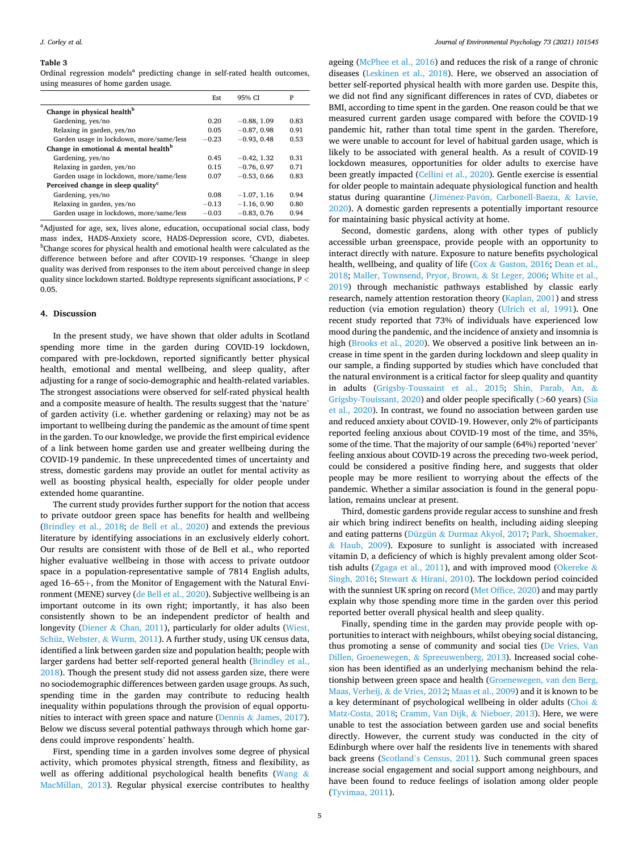#### <span id="page-5-0"></span>**Table 3**

Ordinal regression models<sup>a</sup> predicting change in self-rated health outcomes, using measures of home garden usage.

|                                                     | Est     | 95% CI        | P    |
|-----------------------------------------------------|---------|---------------|------|
| Change in physical health <sup>b</sup>              |         |               |      |
| Gardening, yes/no                                   | 0.20    | $-0.88, 1.09$ | 0.83 |
| Relaxing in garden, yes/no                          | 0.05    | $-0.87, 0.98$ | 0.91 |
| Garden usage in lockdown, more/same/less            | $-0.23$ | $-0.93, 0.48$ | 0.53 |
| Change in emotional $\&$ mental health <sup>b</sup> |         |               |      |
| Gardening, yes/no                                   | 0.45    | $-0.42, 1.32$ | 0.31 |
| Relaxing in garden, yes/no                          | 0.15    | $-0.76, 0.97$ | 0.71 |
| Garden usage in lockdown, more/same/less            | 0.07    | $-0.53, 0.66$ | 0.83 |
| Perceived change in sleep quality <sup>c</sup>      |         |               |      |
| Gardening, yes/no                                   | 0.08    | $-1.07, 1.16$ | 0.94 |
| Relaxing in garden, yes/no                          | $-0.13$ | $-1.16, 0.90$ | 0.80 |
| Garden usage in lockdown, more/same/less            | $-0.03$ | $-0.83, 0.76$ | 0.94 |

<sup>a</sup>Adjusted for age, sex, lives alone, education, occupational social class, body mass index, HADS-Anxiety score, HADS-Depression score, CVD, diabetes. b <sup>b</sup>Change scores for physical health and emotional health were calculated as the difference between before and after COVID-19 responses. Change in sleep quality was derived from responses to the item about perceived change in sleep quality since lockdown started. Boldtype represents significant associations, P *<* 0.05.

#### **4. Discussion**

In the present study, we have shown that older adults in Scotland spending more time in the garden during COVID-19 lockdown, compared with pre-lockdown, reported significantly better physical health, emotional and mental wellbeing, and sleep quality, after adjusting for a range of socio-demographic and health-related variables. The strongest associations were observed for self-rated physical health and a composite measure of health. The results suggest that the 'nature' of garden activity (i.e. whether gardening or relaxing) may not be as important to wellbeing during the pandemic as the amount of time spent in the garden. To our knowledge, we provide the first empirical evidence of a link between home garden use and greater wellbeing during the COVID-19 pandemic. In these unprecedented times of uncertainty and stress, domestic gardens may provide an outlet for mental activity as well as boosting physical health, especially for older people under extended home quarantine.

The current study provides further support for the notion that access to private outdoor green space has benefits for health and wellbeing ([Brindley et al., 2018;](#page-6-0) [de Bell et al., 2020](#page-6-0)) and extends the previous literature by identifying associations in an exclusively elderly cohort. Our results are consistent with those of de Bell et al., who reported higher evaluative wellbeing in those with access to private outdoor space in a population-representative sample of 7814 English adults, aged 16–65+, from the Monitor of Engagement with the Natural Environment (MENE) survey [\(de Bell et al., 2020\)](#page-6-0). Subjective wellbeing is an important outcome in its own right; importantly, it has also been consistently shown to be an independent predictor of health and longevity (Diener & [Chan, 2011](#page-7-0)), particularly for older adults ([Wiest,](#page-8-0)  [Schüz, Webster,](#page-8-0) & Wurm, 2011). A further study, using UK census data, identified a link between garden size and population health; people with larger gardens had better self-reported general health ([Brindley et al.,](#page-6-0)  [2018\)](#page-6-0). Though the present study did not assess garden size, there were no sociodemographic differences between garden usage groups. As such, spending time in the garden may contribute to reducing health inequality within populations through the provision of equal opportunities to interact with green space and nature (Dennis & [James, 2017](#page-7-0)). Below we discuss several potential pathways through which home gardens could improve respondents' health.

First, spending time in a garden involves some degree of physical activity, which promotes physical strength, fitness and flexibility, as well as offering additional psychological health benefits [\(Wang](#page-8-0) & [MacMillan, 2013\)](#page-8-0). Regular physical exercise contributes to healthy

ageing [\(McPhee et al., 2016](#page-7-0)) and reduces the risk of a range of chronic diseases [\(Leskinen et al., 2018](#page-7-0)). Here, we observed an association of better self-reported physical health with more garden use. Despite this, we did not find any significant differences in rates of CVD, diabetes or BMI, according to time spent in the garden. One reason could be that we measured current garden usage compared with before the COVID-19 pandemic hit, rather than total time spent in the garden. Therefore, we were unable to account for level of habitual garden usage, which is likely to be associated with general health. As a result of COVID-19 lockdown measures, opportunities for older adults to exercise have been greatly impacted ([Cellini et al., 2020](#page-7-0)). Gentle exercise is essential for older people to maintain adequate physiological function and health status during quarantine (Jiménez-Pavón, [Carbonell-Baeza,](#page-7-0) & Lavie, [2020\)](#page-7-0). A domestic garden represents a potentially important resource for maintaining basic physical activity at home.

Second, domestic gardens, along with other types of publicly accessible urban greenspace, provide people with an opportunity to interact directly with nature. Exposure to nature benefits psychological health, wellbeing, and quality of life (Cox & Gaston, 2016; Dean et al., [2018; Maller, Townsend, Pryor, Brown,](#page-7-0) & St Leger, 2006; [White et al.,](#page-8-0)  [2019\)](#page-8-0) through mechanistic pathways established by classic early research, namely attention restoration theory [\(Kaplan, 2001](#page-7-0)) and stress reduction (via emotion regulation) theory [\(Ulrich et al, 1991](#page-7-0)). One recent study reported that 73% of individuals have experienced low mood during the pandemic, and the incidence of anxiety and insomnia is high [\(Brooks et al., 2020](#page-6-0)). We observed a positive link between an increase in time spent in the garden during lockdown and sleep quality in our sample, a finding supported by studies which have concluded that the natural environment is a critical factor for sleep quality and quantity in adults [\(Grigsby-Toussaint et al., 2015](#page-7-0); [Shin, Parab, An,](#page-7-0) & [Grigsby-Touissant, 2020](#page-7-0)) and older people specifically (*>*60 years) [\(Sia](#page-7-0)  [et al., 2020](#page-7-0)). In contrast, we found no association between garden use and reduced anxiety about COVID-19. However, only 2% of participants reported feeling anxious about COVID-19 most of the time, and 35%, some of the time. That the majority of our sample (64%) reported 'never' feeling anxious about COVID-19 across the preceding two-week period, could be considered a positive finding here, and suggests that older people may be more resilient to worrying about the effects of the pandemic. Whether a similar association is found in the general population, remains unclear at present.

Third, domestic gardens provide regular access to sunshine and fresh air which bring indirect benefits on health, including aiding sleeping and eating patterns (Düzgün & [Durmaz Akyol, 2017](#page-7-0); [Park, Shoemaker,](#page-7-0)  & [Haub, 2009](#page-7-0)). Exposure to sunlight is associated with increased vitamin D, a deficiency of which is highly prevalent among older Scot-tish adults [\(Zgaga et al., 2011](#page-8-0)), and with improved mood [\(Okereke](#page-7-0)  $\&$ [Singh, 2016](#page-7-0); Stewart & [Hirani, 2010\)](#page-7-0). The lockdown period coincided with the sunniest UK spring on record [\(Met Office, 2020](#page-7-0)) and may partly explain why those spending more time in the garden over this period reported better overall physical health and sleep quality.

Finally, spending time in the garden may provide people with opportunities to interact with neighbours, whilst obeying social distancing, thus promoting a sense of community and social ties [\(De Vries, Van](#page-7-0)  [Dillen, Groenewegen,](#page-7-0) & Spreeuwenberg, 2013). Increased social cohesion has been identified as an underlying mechanism behind the relationship between green space and health [\(Groenewegen, van den Berg,](#page-7-0)  [Maas, Verheij,](#page-7-0) & de Vries, 2012; [Maas et al., 2009](#page-7-0)) and it is known to be a key determinant of psychological wellbeing in older adults [\(Choi](#page-7-0)  $\&$ [Matz-Costa, 2018; Cramm, Van Dijk,](#page-7-0) & Nieboer, 2013). Here, we were unable to test the association between garden use and social benefits directly. However, the current study was conducted in the city of Edinburgh where over half the residents live in tenements with shared back greens (Scotland'[s Census, 2011\)](#page-7-0). Such communal green spaces increase social engagement and social support among neighbours, and have been found to reduce feelings of isolation among older people ([Tyvimaa, 2011\)](#page-7-0).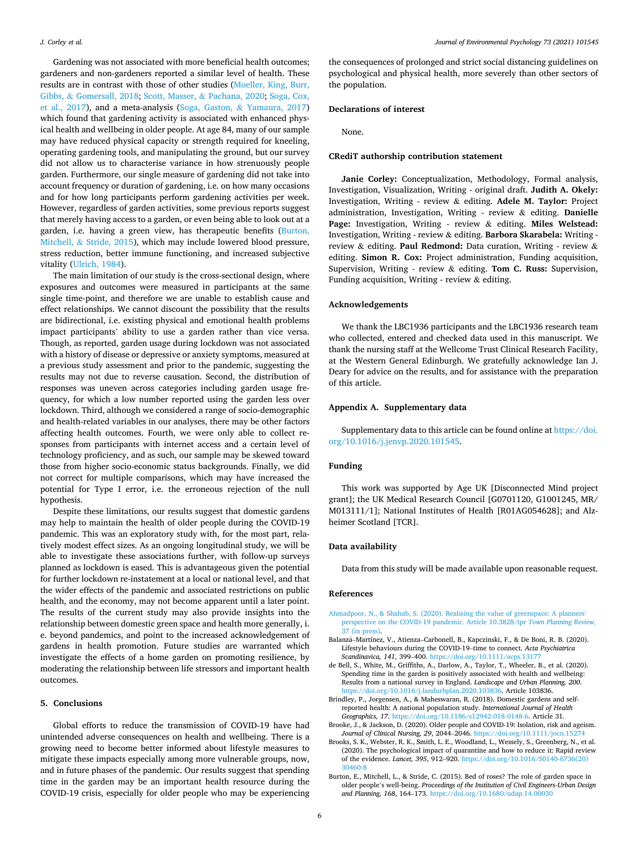<span id="page-6-0"></span>Gardening was not associated with more beneficial health outcomes; gardeners and non-gardeners reported a similar level of health. These results are in contrast with those of other studies ([Moeller, King, Burr,](#page-7-0)  Gibbs, & [Gomersall, 2018](#page-7-0); Scott, Masser, & [Pachana, 2020;](#page-7-0) [Soga, Cox,](#page-7-0)  [et al., 2017](#page-7-0)), and a meta-analysis (Soga, Gaston, & [Yamaura, 2017\)](#page-7-0) which found that gardening activity is associated with enhanced physical health and wellbeing in older people. At age 84, many of our sample may have reduced physical capacity or strength required for kneeling, operating gardening tools, and manipulating the ground, but our survey did not allow us to characterise variance in how strenuously people garden. Furthermore, our single measure of gardening did not take into account frequency or duration of gardening, i.e. on how many occasions and for how long participants perform gardening activities per week. However, regardless of garden activities, some previous reports suggest that merely having access to a garden, or even being able to look out at a garden, i.e. having a green view, has therapeutic benefits (Burton, Mitchell, & Stride, 2015), which may include lowered blood pressure, stress reduction, better immune functioning, and increased subjective vitality [\(Ulrich, 1984\)](#page-7-0).

The main limitation of our study is the cross-sectional design, where exposures and outcomes were measured in participants at the same single time-point, and therefore we are unable to establish cause and effect relationships. We cannot discount the possibility that the results are bidirectional, i.e. existing physical and emotional health problems impact participants' ability to use a garden rather than vice versa. Though, as reported, garden usage during lockdown was not associated with a history of disease or depressive or anxiety symptoms, measured at a previous study assessment and prior to the pandemic, suggesting the results may not due to reverse causation. Second, the distribution of responses was uneven across categories including garden usage frequency, for which a low number reported using the garden less over lockdown. Third, although we considered a range of socio-demographic and health-related variables in our analyses, there may be other factors affecting health outcomes. Fourth, we were only able to collect responses from participants with internet access and a certain level of technology proficiency, and as such, our sample may be skewed toward those from higher socio-economic status backgrounds. Finally, we did not correct for multiple comparisons, which may have increased the potential for Type I error, i.e. the erroneous rejection of the null hypothesis.

Despite these limitations, our results suggest that domestic gardens may help to maintain the health of older people during the COVID-19 pandemic. This was an exploratory study with, for the most part, relatively modest effect sizes. As an ongoing longitudinal study, we will be able to investigate these associations further, with follow-up surveys planned as lockdown is eased. This is advantageous given the potential for further lockdown re-instatement at a local or national level, and that the wider effects of the pandemic and associated restrictions on public health, and the economy, may not become apparent until a later point. The results of the current study may also provide insights into the relationship between domestic green space and health more generally, i. e. beyond pandemics, and point to the increased acknowledgement of gardens in health promotion. Future studies are warranted which investigate the effects of a home garden on promoting resilience, by moderating the relationship between life stressors and important health outcomes.

#### **5. Conclusions**

Global efforts to reduce the transmission of COVID-19 have had unintended adverse consequences on health and wellbeing. There is a growing need to become better informed about lifestyle measures to mitigate these impacts especially among more vulnerable groups, now, and in future phases of the pandemic. Our results suggest that spending time in the garden may be an important health resource during the COVID-19 crisis, especially for older people who may be experiencing the consequences of prolonged and strict social distancing guidelines on psychological and physical health, more severely than other sectors of the population.

#### **Declarations of interest**

None.

#### **CRediT authorship contribution statement**

**Janie Corley:** Conceptualization, Methodology, Formal analysis, Investigation, Visualization, Writing - original draft. **Judith A. Okely:**  Investigation, Writing - review & editing. **Adele M. Taylor:** Project administration, Investigation, Writing - review & editing. **Danielle Page:** Investigation, Writing - review & editing. **Miles Welstead:**  Investigation, Writing - review & editing. **Barbora Skarabela:** Writing review & editing. **Paul Redmond:** Data curation, Writing - review & editing. **Simon R. Cox:** Project administration, Funding acquisition, Supervision, Writing - review & editing. **Tom C. Russ:** Supervision, Funding acquisition, Writing - review & editing.

#### **Acknowledgements**

We thank the LBC1936 participants and the LBC1936 research team who collected, entered and checked data used in this manuscript. We thank the nursing staff at the Wellcome Trust Clinical Research Facility, at the Western General Edinburgh. We gratefully acknowledge Ian J. Deary for advice on the results, and for assistance with the preparation of this article.

#### **Appendix A. Supplementary data**

Supplementary data to this article can be found online at [https://doi.](https://doi.org/10.1016/j.jenvp.2020.101545)  [org/10.1016/j.jenvp.2020.101545.](https://doi.org/10.1016/j.jenvp.2020.101545)

#### **Funding**

This work was supported by Age UK [Disconnected Mind project grant]; the UK Medical Research Council [G0701120, G1001245, MR/ M013111/1]; National Institutes of Health [R01AG054628]; and Alzheimer Scotland [TCR].

#### **Data availability**

Data from this study will be made available upon reasonable request.

#### **References**

- [Ahmadpoor, N., & Shahab, S. \(2020\). Realising the value of greenspace: A planners](http://refhub.elsevier.com/S0272-4944(20)30710-6/sref1)' [perspective on the COVID-19 pandemic. Article 10.3828/tpr](http://refhub.elsevier.com/S0272-4944(20)30710-6/sref1) *Town Planning Review*,  $37$  (in press).
- Balanzá-Martínez, V., Atienza-Carbonell, B., Kapczinski, F., & De Boni, R. B. (2020). Lifestyle behaviours during the COVID-19–time to connect. *Acta Psychiatrica Scandinavica, 141*, 399–400. <https://doi.org/10.1111/acps.13177>
- de Bell, S., White, M., Griffiths, A., Darlow, A., Taylor, T., Wheeler, B., et al. (2020). Spending time in the garden is positively associated with health and wellbeing: Results from a national survey in England. *Landscape and Urban Planning, 200*. [https://doi.org/10.1016/j.landurbplan.2020.103836.](https://doi.org/10.1016/j.landurbplan.2020.103836) Article 103836.
- Brindley, P., Jorgensen, A., & Maheswaran, R. (2018). Domestic gardens and selfreported health: A national population study. *International Journal of Health Geographics, 17*. [https://doi.org/10.1186/s12942-018-0148-6.](https://doi.org/10.1186/s12942-018-0148-6) Article 31.
- Brooke, J., & Jackson, D. (2020). Older people and COVID-19: Isolation, risk and ageism. Journal of Clinical Nursing, 29, 2044–2046. https://doi.org/10.1111/jocn.152
- Brooks, S. K., Webster, R. K., Smith, L. E., Woodland, L., Wessely, S., Greenberg, N., et al. (2020). The psychological impact of quarantine and how to reduce it: Rapid review of the evidence. *Lancet, 395*, 912–920. [https://doi.org/10.1016/S0140-6736\(20\)](https://doi.org/10.1016/S0140-6736(20)30460-8) [30460-8](https://doi.org/10.1016/S0140-6736(20)30460-8)
- Burton, E., Mitchell, L., & Stride, C. (2015). Bed of roses? The role of garden space in older people's well-being. *Proceedings of the Institution of Civil Engineers-Urban Design and Planning, 168*, 164–173. <https://doi.org/10.1680/udap.14.00030>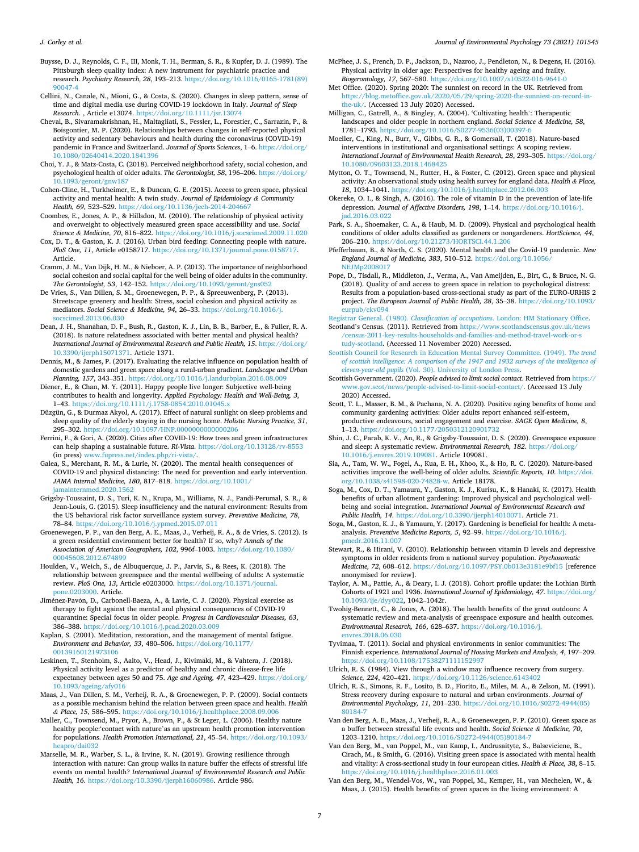<span id="page-7-0"></span>*J. Corley et al.* 

Buysse, D. J., Reynolds, C. F., III, Monk, T. H., Berman, S. R., & Kupfer, D. J. (1989). The Pittsburgh sleep quality index: A new instrument for psychiatric practice and research. *Psychiatry Research, 28*, 193–213. [https://doi.org/10.1016/0165-1781\(89\)](https://doi.org/10.1016/0165-1781(89)90047-4) 

- [90047-4](https://doi.org/10.1016/0165-1781(89)90047-4) Cellini, N., Canale, N., Mioni, G., & Costa, S. (2020). Changes in sleep pattern, sense of time and digital media use during COVID-19 lockdown in Italy. *Journal of Sleep Research*. , Article e13074. <https://doi.org/10.1111/jsr.13074>
- Cheval, B., Sivaramakrishnan, H., Maltagliati, S., Fessler, L., Forestier, C., Sarrazin, P., & Boisgontier, M. P. (2020). Relationships between changes in self-reported physical activity and sedentary behaviours and health during the coronavirus (COVID-19) pandemic in France and Switzerland. *Journal of Sports Sciences*, 1–6. [https://doi.org/](https://doi.org/10.1080/02640414.2020.1841396)  [10.1080/02640414.2020.1841396](https://doi.org/10.1080/02640414.2020.1841396)
- Choi, Y. J., & Matz-Costa, C. (2018). Perceived neighborhood safety, social cohesion, and psychological health of older adults. *The Gerontologist, 58*, 196–206. [https://doi.org/](https://doi.org/10.1093/geront/gnw187)  [10.1093/geront/gnw187](https://doi.org/10.1093/geront/gnw187)
- Cohen-Cline, H., Turkheimer, E., & Duncan, G. E. (2015). Access to green space, physical activity and mental health: A twin study. *Journal of Epidemiology & Community Health, 69*, 523–529. <https://doi.org/10.1136/jech-2014-204667>
- Coombes, E., Jones, A. P., & Hillsdon, M. (2010). The relationship of physical activity and overweight to objectively measured green space accessibility and use. *Social Science & Medicine, 70*, 816–822. <https://doi.org/10.1016/j.socscimed.2009.11.020>
- Cox, D. T., & Gaston, K. J. (2016). Urban bird feeding: Connecting people with nature. *PloS One, 11*, Article e0158717. [https://doi.org/10.1371/journal.pone.0158717.](https://doi.org/10.1371/journal.pone.0158717) Article.
- Cramm, J. M., Van Dijk, H. M., & Nieboer, A. P. (2013). The importance of neighborhood social cohesion and social capital for the well being of older adults in the community. *The Gerontologist, 53, 142-152. https://doi.org/10.1093/geront/gns*
- De Vries, S., Van Dillen, S. M., Groenewegen, P. P., & Spreeuwenberg, P. (2013). Streetscape greenery and health: Stress, social cohesion and physical activity as mediators. *Social Science & Medicine, 94*, 26–33. [https://doi.org/10.1016/j.](https://doi.org/10.1016/j.socscimed.2013.06.030) cimed.2013.06.030
- Dean, J. H., Shanahan, D. F., Bush, R., Gaston, K. J., Lin, B. B., Barber, E., & Fuller, R. A. (2018). Is nature relatedness associated with better mental and physical health? *International Journal of Environmental Research and Public Health, 15*. [https://doi.org/](https://doi.org/10.3390/ijerph15071371)  [10.3390/ijerph15071371](https://doi.org/10.3390/ijerph15071371). Article 1371.
- Dennis, M., & James, P. (2017). Evaluating the relative influence on population health of domestic gardens and green space along a rural-urban gradient. *Landscape and Urban Planning, 157*, 343–351. <https://doi.org/10.1016/j.landurbplan.2016.08.009>
- Diener, E., & Chan, M. Y. (2011). Happy people live longer: Subjective well-being contributes to health and longevity. *Applied Psychology: Health and Well-Being, 3*, 1–43.<https://doi.org/10.1111/j.1758-0854.2010.01045.x>
- Düzgün, G., & Durmaz Akyol, A. (2017). Effect of natural sunlight on sleep problems and sleep quality of the elderly staying in the nursing home. *Holistic Nursing Practice, 31*, 295–302. <https://doi.org/10.1097/HNP.0000000000000206>
- Ferrini, F., & Gori, A. (2020). Cities after COVID-19: How trees and green infrastructures can help shaping a sustainable future. *Ri-Vista*. <https://doi.org/10.13128/rv-8553> (in press) [www.fupress.net/index.php/ri-vista/](http://www.fupress.net/index.php/ri-vista/).
- Galea, S., Merchant, R. M., & Lurie, N. (2020). The mental health consequences of COVID-19 and physical distancing: The need for prevention and early intervention. *JAMA Internal Medicine, 180*, 817–818. [https://doi.org/10.1001/](https://doi.org/10.1001/jamainternmed.2020.1562)  [jamainternmed.2020.1562](https://doi.org/10.1001/jamainternmed.2020.1562)
- Grigsby-Toussaint, D. S., Turi, K. N., Krupa, M., Williams, N. J., Pandi-Perumal, S. R., & Jean-Louis, G. (2015). Sleep insufficiency and the natural environment: Results from the US behavioral risk factor surveillance system survey. *Preventive Medicine, 78*, 78–84. <https://doi.org/10.1016/j.ypmed.2015.07.011>
- Groenewegen, P. P., van den Berg, A. E., Maas, J., Verheij, R. A., & de Vries, S. (2012). Is a green residential environment better for health? If so, why? *Annals of the Association of American Geographers, 102*, 996f–1003. [https://doi.org/10.1080/](https://doi.org/10.1080/00045608.2012.674899) [00045608.2012.674899](https://doi.org/10.1080/00045608.2012.674899)
- Houlden, V., Weich, S., de Albuquerque, J. P., Jarvis, S., & Rees, K. (2018). The relationship between greenspace and the mental wellbeing of adults: A systematic review. *PloS One, 13*, Article e0203000. [https://doi.org/10.1371/journal.](https://doi.org/10.1371/journal.pone.0203000) [pone.0203000](https://doi.org/10.1371/journal.pone.0203000). Article.
- Jiménez-Pavón, D., Carbonell-Baeza, A., & Lavie, C. J. (2020). Physical exercise as therapy to fight against the mental and physical consequences of COVID-19 quarantine: Special focus in older people. *Progress in Cardiovascular Diseases, 63*, 386–388. <https://doi.org/10.1016/j.pcad.2020.03.009>
- Kaplan, S. (2001). Meditation, restoration, and the management of mental fatigue. *Environment and Behavior, 33*, 480–506. [https://doi.org/10.1177/](https://doi.org/10.1177/00139160121973106) [00139160121973106](https://doi.org/10.1177/00139160121973106)
- Leskinen, T., Stenholm, S., Aalto, V., Head, J., Kivimäki, M., & Vahtera, J. (2018). Physical activity level as a predictor of healthy and chronic disease-free life expectancy between ages 50 and 75. *Age and Ageing, 47*, 423–429. [https://doi.org/](https://doi.org/10.1093/ageing/afy016)  [10.1093/ageing/afy016](https://doi.org/10.1093/ageing/afy016)
- Maas, J., Van Dillen, S. M., Verheij, R. A., & Groenewegen, P. P. (2009). Social contacts as a possible mechanism behind the relation between green space and health. *Health & Place, 15*, 586–595.<https://doi.org/10.1016/j.healthplace.2008.09.006>
- Maller, C., Townsend, M., Pryor, A., Brown, P., & St Leger, L. (2006). Healthy nature healthy people:'contact with nature'as an upstream health promotion intervention for populations. *Health Promotion International, 21*, 45–54. [https://doi.org/10.1093/](https://doi.org/10.1093/heapro/dai032)  o/dai032
- Marselle, M. R., Warber, S. L., & Irvine, K. N. (2019). Growing resilience through interaction with nature: Can group walks in nature buffer the effects of stressful life events on mental health? *International Journal of Environmental Research and Public Health, 16*. <https://doi.org/10.3390/ijerph16060986>. Article 986.
- McPhee, J. S., French, D. P., Jackson, D., Nazroo, J., Pendleton, N., & Degens, H. (2016). Physical activity in older age: Perspectives for healthy ageing and frailty. *Biogerontology, 17*, 567–580.<https://doi.org/10.1007/s10522-016-9641-0>
- Met Office. (2020). Spring 2020: The sunniest on record in the UK. Retrieved from [https://blog.metoffice.gov.uk/2020/05/29/spring-2020-the-sunniest-on-record-in](https://blog.metoffice.gov.uk/2020/05/29/spring-2020-the-sunniest-on-record-in-the-uk/)[the-uk/.](https://blog.metoffice.gov.uk/2020/05/29/spring-2020-the-sunniest-on-record-in-the-uk/) (Accessed 13 July 2020) Accessed.
- Milligan, C., Gatrell, A., & Bingley, A. (2004). 'Cultivating health': Therapeutic landscapes and older people in northern england. *Social Science & Medicine, 58*, 1781–1793. https://doi.org/10.1016/S0277-9536(03)003
- Moeller, C., King, N., Burr, V., Gibbs, G. R., & Gomersall, T. (2018). Nature-based interventions in institutional and organisational settings: A scoping review. *International Journal of Environmental Health Research, 28*, 293–305. [https://doi.org/](https://doi.org/10.1080/09603123.2018.1468425)  [10.1080/09603123.2018.1468425](https://doi.org/10.1080/09603123.2018.1468425)
- Mytton, O. T., Townsend, N., Rutter, H., & Foster, C. (2012). Green space and physical activity: An observational study using health survey for england data. *Health & Place, 18*, 1034–1041.<https://doi.org/10.1016/j.healthplace.2012.06.003>
- Okereke, O. I., & Singh, A. (2016). The role of vitamin D in the prevention of late-life depression. *Journal of Affective Disorders, 198*, 1–14. [https://doi.org/10.1016/j.](https://doi.org/10.1016/j.jad.2016.03.022)  $d.2016.03.022$
- Park, S. A., Shoemaker, C. A., & Haub, M. D. (2009). Physical and psychological health conditions of older adults classified as gardeners or nongardeners. *HortScience, 44*, 206–210. <https://doi.org/10.21273/HORTSCI.44.1.206>
- Pfefferbaum, B., & North, C. S. (2020). Mental health and the Covid-19 pandemic. *New England Journal of Medicine, 383*, 510–512. [https://doi.org/10.1056/](https://doi.org/10.1056/NEJMp2008017)  [NEJMp2008017](https://doi.org/10.1056/NEJMp2008017)
- Pope, D., Tisdall, R., Middleton, J., Verma, A., Van Ameijden, E., Birt, C., & Bruce, N. G. (2018). Quality of and access to green space in relation to psychological distress: Results from a population-based cross-sectional study as part of the EURO-URHIS 2 project. *The European Journal of Public Health, 28*, 35–38. [https://doi.org/10.1093/](https://doi.org/10.1093/eurpub/ckv094) [eurpub/ckv094](https://doi.org/10.1093/eurpub/ckv094)
- Registrar General. (1980). *Classification of occupations*[. London: HM Stationary Office.](http://refhub.elsevier.com/S0272-4944(20)30710-6/sref42) Scotland's Census. (2011). Retrieved from [https://www.scotlandscensus.gov.uk/news](https://www.scotlandscensus.gov.uk/news/census-2011-key-results-households-and-families-and-method-travel-work-or-study-scotland) [/census-2011-key-results-households-and-families-and-method-travel-work-or-s](https://www.scotlandscensus.gov.uk/news/census-2011-key-results-households-and-families-and-method-travel-work-or-study-scotland) [tudy-scotland.](https://www.scotlandscensus.gov.uk/news/census-2011-key-results-households-and-families-and-method-travel-work-or-study-scotland) (Accessed 11 November 2020) Accessed.
- [Scottish Council for Research in Education Mental Survey Committee. \(1949\).](http://refhub.elsevier.com/S0272-4944(20)30710-6/sref44) *The trend [of scottish intelligence: A comparison of the 1947 and 1932 surveys of the intelligence of](http://refhub.elsevier.com/S0272-4944(20)30710-6/sref44)  eleven-year-old pupils* [\(Vol. 30\). University of London Press](http://refhub.elsevier.com/S0272-4944(20)30710-6/sref44).
- Scottish Government. (2020). *People advised to limit social contact*. Retrieved from [https://](https://www.gov.scot/news/people-advised-to-limit-social-contact/)  [www.gov.scot/news/people-advised-to-limit-social-contact/](https://www.gov.scot/news/people-advised-to-limit-social-contact/). (Accessed 13 July 2020) Accessed.
- Scott, T. L., Masser, B. M., & Pachana, N. A. (2020). Positive aging benefits of home and community gardening activities: Older adults report enhanced self-esteem, productive endeavours, social engagement and exercise. *SAGE Open Medicine, 8*, 1–13.<https://doi.org/10.1177/2050312120901732>
- Shin, J. C., Parab, K. V., An, R., & Grigsby-Toussaint, D. S. (2020). Greenspace exposure and sleep: A systematic review. *Environmental Research, 182*. [https://doi.org/](https://doi.org/10.1016/j.envres.2019.109081)  [10.1016/j.envres.2019.109081](https://doi.org/10.1016/j.envres.2019.109081). Article 109081.
- Sia, A., Tam, W. W., Fogel, A., Kua, E. H., Khoo, K., & Ho, R. C. (2020). Nature-based activities improve the well-being of older adults. *Scientific Reports, 10*. [https://doi.](https://doi.org/10.1038/s41598-020-74828-w) [org/10.1038/s41598-020-74828-w.](https://doi.org/10.1038/s41598-020-74828-w) Article 18178.
- Soga, M., Cox, D. T., Yamaura, Y., Gaston, K. J., Kurisu, K., & Hanaki, K. (2017). Health benefits of urban allotment gardening: Improved physical and psychological wellbeing and social integration. *International Journal of Environmental Research and Public Health, 14*. [https://doi.org/10.3390/ijerph14010071.](https://doi.org/10.3390/ijerph14010071) Article 71.
- Soga, M., Gaston, K. J., & Yamaura, Y. (2017). Gardening is beneficial for health: A metaanalysis. *Preventive Medicine Reports, 5*, 92–99. [https://doi.org/10.1016/j.](https://doi.org/10.1016/j.pmedr.2016.11.007) [pmedr.2016.11.007](https://doi.org/10.1016/j.pmedr.2016.11.007)
- Stewart, R., & Hirani, V. (2010). Relationship between vitamin D levels and depressive symptoms in older residents from a national survey population. *Psychosomatic Medicine, 72*, 608–612.<https://doi.org/10.1097/PSY.0b013e3181e9bf15>[reference anonymised for review].
- Taylor, A. M., Pattie, A., & Deary, I. J. (2018). Cohort profile update: the Lothian Birth Cohorts of 1921 and 1936. *International Journal of Epidemiology, 47*. [https://doi.org/](https://doi.org/10.1093/ije/dyy022)  [10.1093/ije/dyy022](https://doi.org/10.1093/ije/dyy022), 1042–1042r.
- Twohig-Bennett, C., & Jones, A. (2018). The health benefits of the great outdoors: A systematic review and meta-analysis of greenspace exposure and health outcomes. *Environmental Research, 166*, 628–637. [https://doi.org/10.1016/j.](https://doi.org/10.1016/j.envres.2018.06.030)  envres. 2018.06.030
- Tyvimaa, T. (2011). Social and physical environments in senior communities: The Finnish experience. *International Journal of Housing Markets and Analysis, 4*, 197–209. <https://doi.org/10.1108/17538271111152997>
- Ulrich, R. S. (1984). View through a window may influence recovery from surgery. *Science, 224*, 420–421. <https://doi.org/10.1126/science.6143402>
- Ulrich, R. S., Simons, R. F., Losito, B. D., Fiorito, E., Miles, M. A., & Zelson, M. (1991). Stress recovery during exposure to natural and urban environments. *Journal of Environmental Psychology, 11*, 201–230. [https://doi.org/10.1016/S0272-4944\(05\)](https://doi.org/10.1016/S0272-4944(05)80184-7) [80184-7](https://doi.org/10.1016/S0272-4944(05)80184-7)
- Van den Berg, A. E., Maas, J., Verheij, R. A., & Groenewegen, P. P. (2010). Green space as a buffer between stressful life events and health. *Social Science & Medicine, 70*, 1203–1210. [https://doi.org/10.1016/S0272-4944\(05\)80184-7](https://doi.org/10.1016/S0272-4944(05)80184-7)
- Van den Berg, M., van Poppel, M., van Kamp, I., Andrusaityte, S., Balseviciene, B., Cirach, M., & Smith, G. (2016). Visiting green space is associated with mental health and vitality: A cross-sectional study in four european cities. *Health & Place, 38*, 8–15. <https://doi.org/10.1016/j.healthplace.2016.01.003>
- Van den Berg, M., Wendel-Vos, W., van Poppel, M., Kemper, H., van Mechelen, W., & Maas, J. (2015). Health benefits of green spaces in the living environment: A